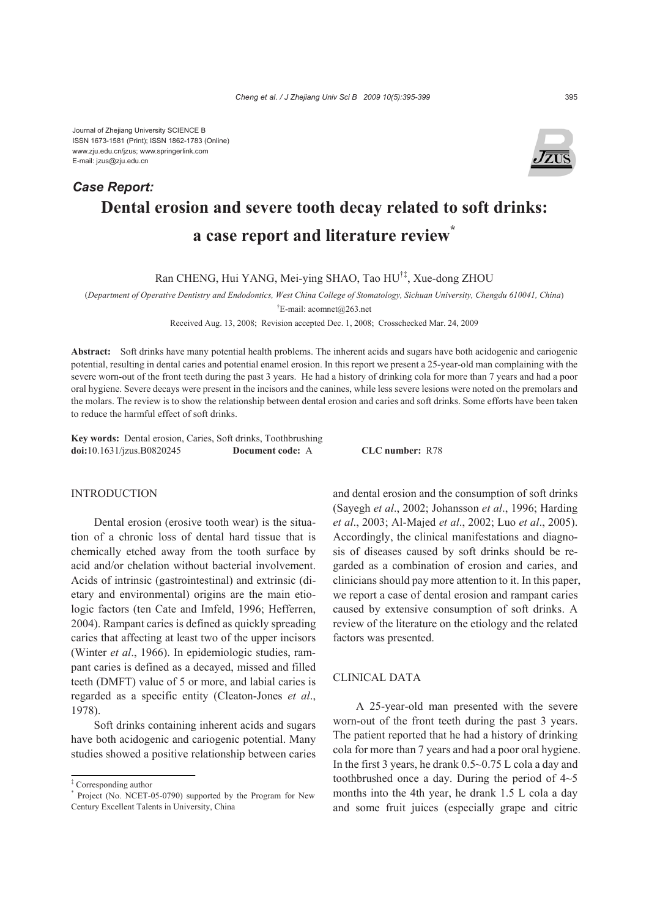Journal of Zhejiang University SCIENCE B ISSN 1673-1581 (Print); ISSN 1862-1783 (Online) www.zju.edu.cn/jzus; www.springerlink.com E-mail: jzus@zju.edu.cn

# **Dental erosion and severe tooth decay related to soft drinks: a case report and literature review\*** *Case Report:*

Ran CHENG, Hui YANG, Mei-ying SHAO, Tao HU†‡, Xue-dong ZHOU

(*Department of Operative Dentistry and Endodontics, West China College of Stomatology, Sichuan University, Chengdu 610041, China*)

† E-mail: acomnet@263.net

Received Aug. 13, 2008; Revision accepted Dec. 1, 2008; Crosschecked Mar. 24, 2009

**Abstract:** Soft drinks have many potential health problems. The inherent acids and sugars have both acidogenic and cariogenic potential, resulting in dental caries and potential enamel erosion. In this report we present a 25-year-old man complaining with the severe worn-out of the front teeth during the past 3 years. He had a history of drinking cola for more than 7 years and had a poor oral hygiene. Severe decays were present in the incisors and the canines, while less severe lesions were noted on the premolars and the molars. The review is to show the relationship between dental erosion and caries and soft drinks. Some efforts have been taken to reduce the harmful effect of soft drinks.

**Key words:** Dental erosion, Caries, Soft drinks, Toothbrushing **doi:**10.1631/jzus.B0820245 **Document code:** A **CLC number:** R78

### INTRODUCTION

Dental erosion (erosive tooth wear) is the situation of a chronic loss of dental hard tissue that is chemically etched away from the tooth surface by acid and/or chelation without bacterial involvement. Acids of intrinsic (gastrointestinal) and extrinsic (dietary and environmental) origins are the main etiologic factors (ten Cate and Imfeld, 1996; Hefferren, 2004). Rampant caries is defined as quickly spreading caries that affecting at least two of the upper incisors (Winter *et al*., 1966). In epidemiologic studies, rampant caries is defined as a decayed, missed and filled teeth (DMFT) value of 5 or more, and labial caries is regarded as a specific entity (Cleaton-Jones *et al*., 1978).

Soft drinks containing inherent acids and sugars have both acidogenic and cariogenic potential. Many studies showed a positive relationship between caries and dental erosion and the consumption of soft drinks (Sayegh *et al*., 2002; Johansson *et al*., 1996; Harding *et al*., 2003; Al-Majed *et al*., 2002; Luo *et al*., 2005). Accordingly, the clinical manifestations and diagnosis of diseases caused by soft drinks should be regarded as a combination of erosion and caries, and clinicians should pay more attention to it. In this paper, we report a case of dental erosion and rampant caries caused by extensive consumption of soft drinks. A review of the literature on the etiology and the related factors was presented.

## CLINICAL DATA

A 25-year-old man presented with the severe worn-out of the front teeth during the past 3 years. The patient reported that he had a history of drinking cola for more than 7 years and had a poor oral hygiene. In the first 3 years, he drank 0.5~0.75 L cola a day and toothbrushed once a day. During the period of 4~5 months into the 4th year, he drank 1.5 L cola a day and some fruit juices (especially grape and citric



<sup>‡</sup> Corresponding author

<sup>\*</sup> Project (No. NCET-05-0790) supported by the Program for New Century Excellent Talents in University, China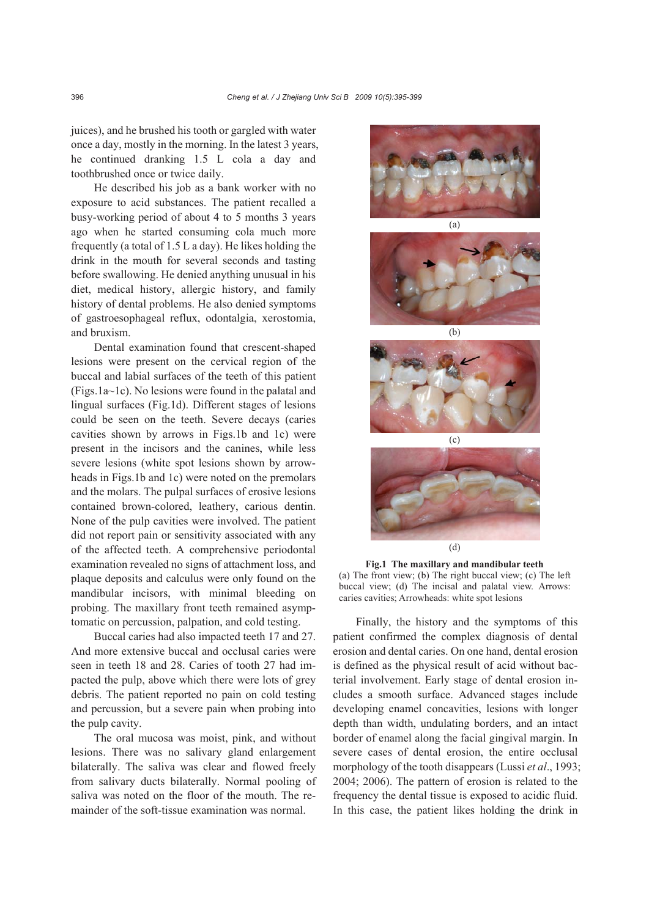juices), and he brushed his tooth or gargled with water once a day, mostly in the morning. In the latest 3 years, he continued dranking 1.5 L cola a day and toothbrushed once or twice daily.

He described his job as a bank worker with no exposure to acid substances. The patient recalled a busy-working period of about 4 to 5 months 3 years ago when he started consuming cola much more frequently (a total of 1.5 L a day). He likes holding the drink in the mouth for several seconds and tasting before swallowing. He denied anything unusual in his diet, medical history, allergic history, and family history of dental problems. He also denied symptoms of gastroesophageal reflux, odontalgia, xerostomia, and bruxism.

Dental examination found that crescent-shaped lesions were present on the cervical region of the buccal and labial surfaces of the teeth of this patient (Figs.1a~1c). No lesions were found in the palatal and lingual surfaces (Fig.1d). Different stages of lesions could be seen on the teeth. Severe decays (caries cavities shown by arrows in Figs.1b and 1c) were present in the incisors and the canines, while less severe lesions (white spot lesions shown by arrowheads in Figs.1b and 1c) were noted on the premolars and the molars. The pulpal surfaces of erosive lesions contained brown-colored, leathery, carious dentin. None of the pulp cavities were involved. The patient did not report pain or sensitivity associated with any of the affected teeth. A comprehensive periodontal examination revealed no signs of attachment loss, and plaque deposits and calculus were only found on the mandibular incisors, with minimal bleeding on probing. The maxillary front teeth remained asymptomatic on percussion, palpation, and cold testing.

Buccal caries had also impacted teeth 17 and 27. And more extensive buccal and occlusal caries were seen in teeth 18 and 28. Caries of tooth 27 had impacted the pulp, above which there were lots of grey debris. The patient reported no pain on cold testing and percussion, but a severe pain when probing into the pulp cavity.

The oral mucosa was moist, pink, and without lesions. There was no salivary gland enlargement bilaterally. The saliva was clear and flowed freely from salivary ducts bilaterally. Normal pooling of saliva was noted on the floor of the mouth. The remainder of the soft-tissue examination was normal.



(a)





(c)



**Fig.1 The maxillary and mandibular teeth**  (a) The front view; (b) The right buccal view; (c) The left buccal view; (d) The incisal and palatal view. Arrows: caries cavities; Arrowheads: white spot lesions

Finally, the history and the symptoms of this patient confirmed the complex diagnosis of dental erosion and dental caries. On one hand, dental erosion is defined as the physical result of acid without bacterial involvement. Early stage of dental erosion includes a smooth surface. Advanced stages include developing enamel concavities, lesions with longer depth than width, undulating borders, and an intact border of enamel along the facial gingival margin. In severe cases of dental erosion, the entire occlusal morphology of the tooth disappears (Lussi *et al*., 1993; 2004; 2006). The pattern of erosion is related to the frequency the dental tissue is exposed to acidic fluid. In this case, the patient likes holding the drink in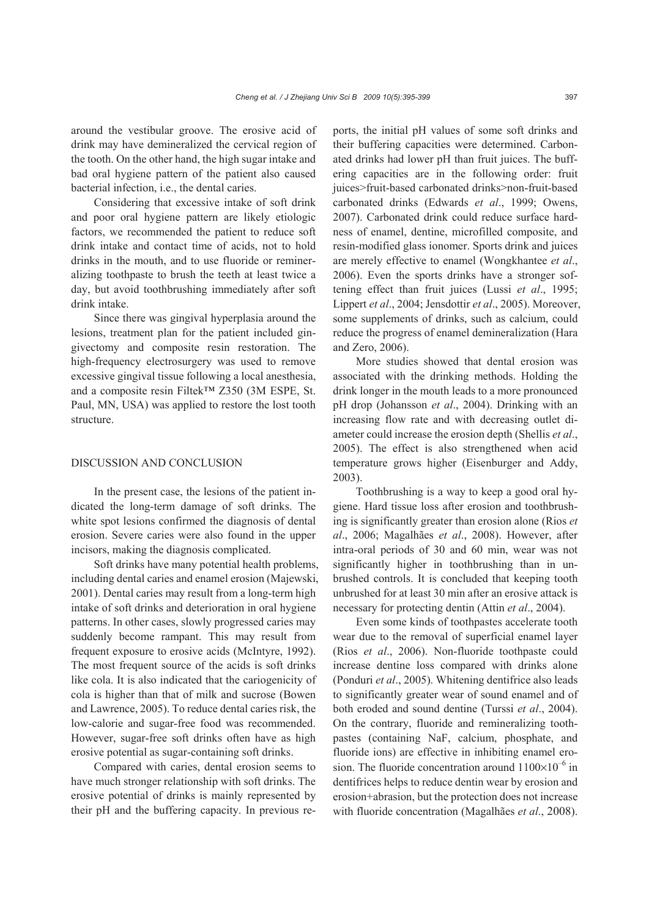around the vestibular groove. The erosive acid of drink may have demineralized the cervical region of the tooth. On the other hand, the high sugar intake and bad oral hygiene pattern of the patient also caused bacterial infection, i.e., the dental caries.

Considering that excessive intake of soft drink and poor oral hygiene pattern are likely etiologic factors, we recommended the patient to reduce soft drink intake and contact time of acids, not to hold drinks in the mouth, and to use fluoride or remineralizing toothpaste to brush the teeth at least twice a day, but avoid toothbrushing immediately after soft drink intake.

Since there was gingival hyperplasia around the lesions, treatment plan for the patient included gingivectomy and composite resin restoration. The high-frequency electrosurgery was used to remove excessive gingival tissue following a local anesthesia, and a composite resin Filtek™ Z350 (3M ESPE, St. Paul, MN, USA) was applied to restore the lost tooth structure.

#### DISCUSSION AND CONCLUSION

In the present case, the lesions of the patient indicated the long-term damage of soft drinks. The white spot lesions confirmed the diagnosis of dental erosion. Severe caries were also found in the upper incisors, making the diagnosis complicated.

Soft drinks have many potential health problems, including dental caries and enamel erosion (Majewski, 2001). Dental caries may result from a long-term high intake of soft drinks and deterioration in oral hygiene patterns. In other cases, slowly progressed caries may suddenly become rampant. This may result from frequent exposure to erosive acids (McIntyre, 1992). The most frequent source of the acids is soft drinks like cola. It is also indicated that the cariogenicity of cola is higher than that of milk and sucrose (Bowen and Lawrence, 2005). To reduce dental caries risk, the low-calorie and sugar-free food was recommended. However, sugar-free soft drinks often have as high erosive potential as sugar-containing soft drinks.

Compared with caries, dental erosion seems to have much stronger relationship with soft drinks. The erosive potential of drinks is mainly represented by their pH and the buffering capacity. In previous reports, the initial pH values of some soft drinks and their buffering capacities were determined. Carbonated drinks had lower pH than fruit juices. The buffering capacities are in the following order: fruit juices>fruit-based carbonated drinks>non-fruit-based carbonated drinks (Edwards *et al*., 1999; Owens, 2007). Carbonated drink could reduce surface hardness of enamel, dentine, microfilled composite, and resin-modified glass ionomer. Sports drink and juices are merely effective to enamel (Wongkhantee *et al*., 2006). Even the sports drinks have a stronger softening effect than fruit juices (Lussi *et al*., 1995; Lippert *et al*., 2004; Jensdottir *et al*., 2005). Moreover, some supplements of drinks, such as calcium, could reduce the progress of enamel demineralization (Hara and Zero, 2006).

More studies showed that dental erosion was associated with the drinking methods. Holding the drink longer in the mouth leads to a more pronounced pH drop (Johansson *et al*., 2004). Drinking with an increasing flow rate and with decreasing outlet diameter could increase the erosion depth (Shellis *et al*., 2005). The effect is also strengthened when acid temperature grows higher (Eisenburger and Addy, 2003).

Toothbrushing is a way to keep a good oral hygiene. Hard tissue loss after erosion and toothbrushing is significantly greater than erosion alone (Rios *et al*., 2006; Magalhães *et al*., 2008). However, after intra-oral periods of 30 and 60 min, wear was not significantly higher in toothbrushing than in unbrushed controls. It is concluded that keeping tooth unbrushed for at least 30 min after an erosive attack is necessary for protecting dentin (Attin *et al*., 2004).

Even some kinds of toothpastes accelerate tooth wear due to the removal of superficial enamel layer (Rios *et al*., 2006). Non-fluoride toothpaste could increase dentine loss compared with drinks alone (Ponduri *et al*., 2005). Whitening dentifrice also leads to significantly greater wear of sound enamel and of both eroded and sound dentine (Turssi *et al*., 2004). On the contrary, fluoride and remineralizing toothpastes (containing NaF, calcium, phosphate, and fluoride ions) are effective in inhibiting enamel erosion. The fluoride concentration around  $1100\times10^{-6}$  in dentifrices helps to reduce dentin wear by erosion and erosion+abrasion, but the protection does not increase with fluoride concentration (Magalhães *et al*., 2008).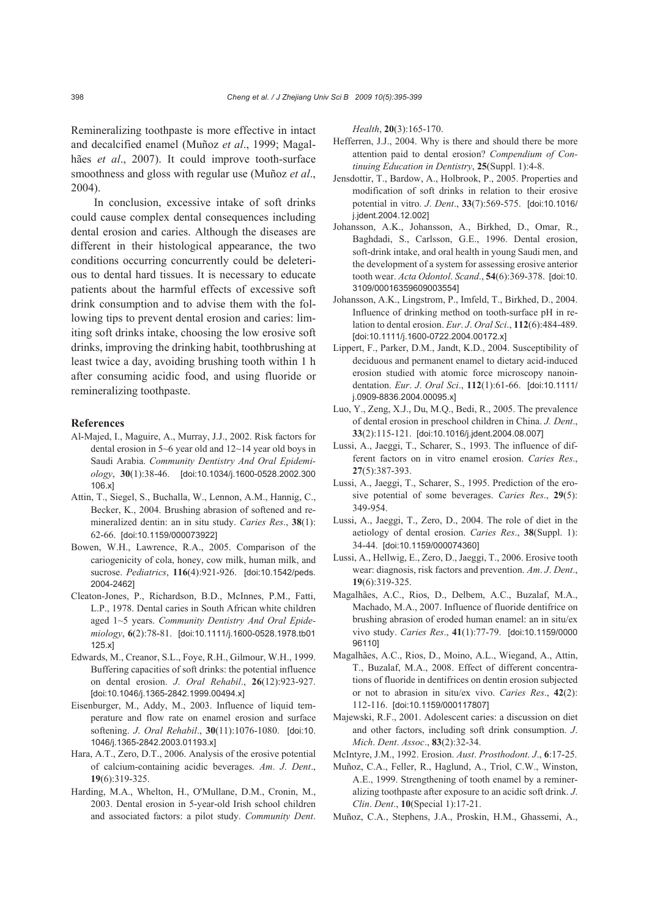Remineralizing toothpaste is more effective in intact and decalcified enamel (Muñoz *et al*., 1999; Magalhães *et al*., 2007). It could improve tooth-surface smoothness and gloss with regular use (Muñoz *et al*., 2004).

In conclusion, excessive intake of soft drinks could cause complex dental consequences including dental erosion and caries. Although the diseases are different in their histological appearance, the two conditions occurring concurrently could be deleterious to dental hard tissues. It is necessary to educate patients about the harmful effects of excessive soft drink consumption and to advise them with the following tips to prevent dental erosion and caries: limiting soft drinks intake, choosing the low erosive soft drinks, improving the drinking habit, toothbrushing at least twice a day, avoiding brushing tooth within 1 h after consuming acidic food, and using fluoride or remineralizing toothpaste.

#### **References**

- Al-Majed, I., Maguire, A., Murray, J.J., 2002. Risk factors for dental erosion in 5~6 year old and 12~14 year old boys in Saudi Arabia. *Community Dentistry And Oral Epidemiology*, **30**(1):38-46. [doi:10.1034/j.1600-0528.2002.300 106.x]
- Attin, T., Siegel, S., Buchalla, W., Lennon, A.M., Hannig, C., Becker, K., 2004. Brushing abrasion of softened and remineralized dentin: an in situ study. *Caries Res*., **38**(1): 62-66. [doi:10.1159/000073922]
- Bowen, W.H., Lawrence, R.A., 2005. Comparison of the cariogenicity of cola, honey, cow milk, human milk, and sucrose. *Pediatrics*, **116**(4):921-926. [doi:10.1542/peds. 2004-2462]
- Cleaton-Jones, P., Richardson, B.D., McInnes, P.M., Fatti, L.P., 1978. Dental caries in South African white children aged 1~5 years. *Community Dentistry And Oral Epidemiology*, **6**(2):78-81. [doi:10.1111/j.1600-0528.1978.tb01 125.x]
- Edwards, M., Creanor, S.L., Foye, R.H., Gilmour, W.H., 1999. Buffering capacities of soft drinks: the potential influence on dental erosion. *J*. *Oral Rehabil*., **26**(12):923-927. [doi:10.1046/j.1365-2842.1999.00494.x]
- Eisenburger, M., Addy, M., 2003. Influence of liquid temperature and flow rate on enamel erosion and surface softening. *J*. *Oral Rehabil*., **30**(11):1076-1080. [doi:10. 1046/j.1365-2842.2003.01193.x]
- Hara, A.T., Zero, D.T., 2006. Analysis of the erosive potential of calcium-containing acidic beverages. *Am*. *J*. *Dent*., **19**(6):319-325.
- Harding, M.A., Whelton, H., O'Mullane, D.M., Cronin, M., 2003. Dental erosion in 5-year-old Irish school children and associated factors: a pilot study. *Community Dent*.

*Health*, **20**(3):165-170.

- Hefferren, J.J., 2004. Why is there and should there be more attention paid to dental erosion? *Compendium of Continuing Education in Dentistry*, **25**(Suppl. 1):4-8.
- Jensdottir, T., Bardow, A., Holbrook, P., 2005. Properties and modification of soft drinks in relation to their erosive potential in vitro. *J*. *Dent*., **33**(7):569-575. [doi:10.1016/ j.jdent.2004.12.002]
- Johansson, A.K., Johansson, A., Birkhed, D., Omar, R., Baghdadi, S., Carlsson, G.E., 1996. Dental erosion, soft-drink intake, and oral health in young Saudi men, and the development of a system for assessing erosive anterior tooth wear. *Acta Odontol*. *Scand*., **54**(6):369-378. [doi:10. 3109/00016359609003554]
- Johansson, A.K., Lingstrom, P., Imfeld, T., Birkhed, D., 2004. Influence of drinking method on tooth-surface pH in relation to dental erosion. *Eur*. *J*. *Oral Sci*., **112**(6):484-489. [doi:10.1111/j.1600-0722.2004.00172.x]
- Lippert, F., Parker, D.M., Jandt, K.D., 2004. Susceptibility of deciduous and permanent enamel to dietary acid-induced erosion studied with atomic force microscopy nanoindentation. *Eur*. *J*. *Oral Sci*., **112**(1):61-66. [doi:10.1111/ j.0909-8836.2004.00095.x]
- Luo, Y., Zeng, X.J., Du, M.Q., Bedi, R., 2005. The prevalence of dental erosion in preschool children in China. *J. Dent*., **33**(2):115-121. [doi:10.1016/j.jdent.2004.08.007]
- Lussi, A., Jaeggi, T., Scharer, S., 1993. The influence of different factors on in vitro enamel erosion. *Caries Res*., **27**(5):387-393.
- Lussi, A., Jaeggi, T., Scharer, S., 1995. Prediction of the erosive potential of some beverages. *Caries Res*., **29**(5): 349-954.
- Lussi, A., Jaeggi, T., Zero, D., 2004. The role of diet in the aetiology of dental erosion. *Caries Res*., **38**(Suppl. 1): 34-44. [doi:10.1159/000074360]
- Lussi, A., Hellwig, E., Zero, D., Jaeggi, T., 2006. Erosive tooth wear: diagnosis, risk factors and prevention. *Am*. *J*. *Dent*., **19**(6):319-325.
- Magalhães, A.C., Rios, D., Delbem, A.C., Buzalaf, M.A., Machado, M.A., 2007. Influence of fluoride dentifrice on brushing abrasion of eroded human enamel: an in situ/ex vivo study. *Caries Res*., **41**(1):77-79. [doi:10.1159/0000 96110]
- Magalhães, A.C., Rios, D., Moino, A.L., Wiegand, A., Attin, T., Buzalaf, M.A., 2008. Effect of different concentrations of fluoride in dentifrices on dentin erosion subjected or not to abrasion in situ/ex vivo. *Caries Res*., **42**(2): 112-116. [doi:10.1159/000117807]
- Majewski, R.F., 2001. Adolescent caries: a discussion on diet and other factors, including soft drink consumption. *J*. *Mich*. *Dent*. *Assoc*., **83**(2):32-34.
- McIntyre, J.M., 1992. Erosion. *Aust*. *Prosthodont*. *J*., **6**:17-25.
- Muñoz, C.A., Feller, R., Haglund, A., Triol, C.W., Winston, A.E., 1999. Strengthening of tooth enamel by a remineralizing toothpaste after exposure to an acidic soft drink. *J*. *Clin*. *Dent*., **10**(Special 1):17-21.
- Muñoz, C.A., Stephens, J.A., Proskin, H.M., Ghassemi, A.,